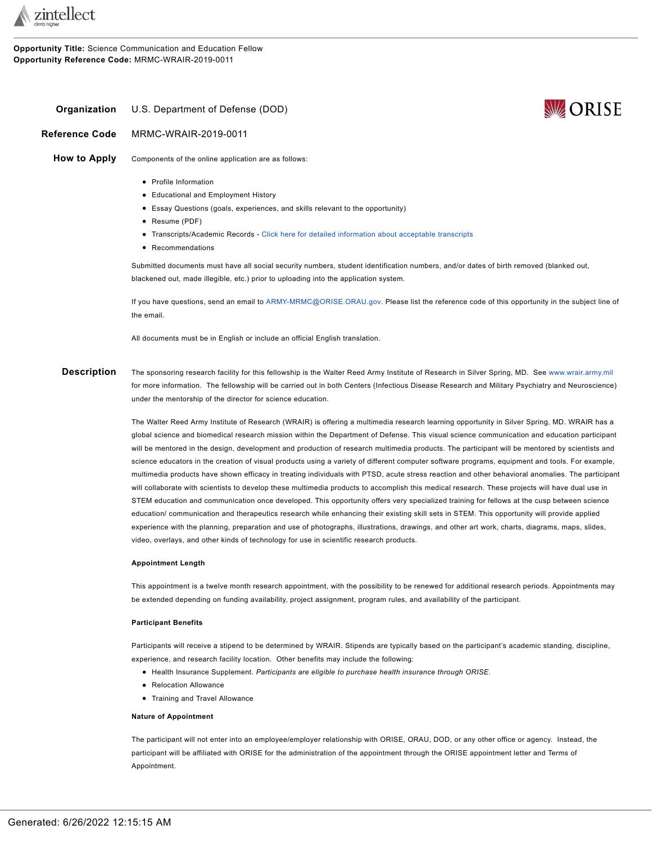

**Opportunity Title:** Science Communication and Education Fellow **Opportunity Reference Code:** MRMC-WRAIR-2019-0011



# <span id="page-0-0"></span>**Organization** U.S. Department of Defense (DOD)

**Reference Code** MRMC-WRAIR-2019-0011

**How to Apply** Components of the online application are as follows:

- Profile Information
- Educational and Employment History
- Essay Questions (goals, experiences, and skills relevant to the opportunity)
- Resume (PDF)
- Transcripts/Academic Records Click here for detailed [information](http://orise.orau.gov/sepreview/transcripts.html) about acceptable transcripts
- Recommendations

Submitted documents must have all social security numbers, student identification numbers, and/or dates of birth removed (blanked out, blackened out, made illegible, etc.) prior to uploading into the application system.

If you have questions, send an email to [ARMY-MRMC@ORISE.ORAU.gov.](mailto:ARMY-MRMC@ORISE.ORAU.gov) Please list the reference code of this opportunity in the subject line of the email.

All documents must be in English or include an official English translation.

Description The sponsoring research facility for this fellowship is the Walter Reed Army Institute of Research in Silver Spring, MD. See [www.wrair.army.mil](http://www.wrair.army.mil/) for more information. The fellowship will be carried out in both Centers (Infectious Disease Research and Military Psychiatry and Neuroscience) under the mentorship of the director for science education.

> The Walter Reed Army Institute of Research (WRAIR) is offering a multimedia research learning opportunity in Silver Spring, MD. WRAIR has a global science and biomedical research mission within the Department of Defense. This visual science communication and education participant will be mentored in the design, development and production of research multimedia products. The participant will be mentored by scientists and science educators in the creation of visual products using a variety of different computer software programs, equipment and tools. For example, multimedia products have shown efficacy in treating individuals with PTSD, acute stress reaction and other behavioral anomalies. The participant will collaborate with scientists to develop these multimedia products to accomplish this medical research. These projects will have dual use in STEM education and communication once developed. This opportunity offers very specialized training for fellows at the cusp between science education/ communication and therapeutics research while enhancing their existing skill sets in STEM. This opportunity will provide applied experience with the planning, preparation and use of photographs, illustrations, drawings, and other art work, charts, diagrams, maps, slides, video, overlays, and other kinds of technology for use in scientific research products.

## **Appointment Length**

This appointment is a twelve month research appointment, with the possibility to be renewed for additional research periods. Appointments may be extended depending on funding availability, project assignment, program rules, and availability of the participant.

#### **Participant Benefits**

Participants will receive a stipend to be determined by WRAIR. Stipends are typically based on the participant's academic standing, discipline, experience, and research facility location. Other benefits may include the following:

- Health Insurance Supplement. *Participants are eligible to purchase health insurance through ORISE.*
- Relocation Allowance
- Training and Travel Allowance

## **Nature of Appointment**

The participant will not enter into an employee/employer relationship with ORISE, ORAU, DOD, or any other office or agency. Instead, the participant will be affiliated with ORISE for the administration of the appointment through the ORISE appointment letter and Terms of Appointment.